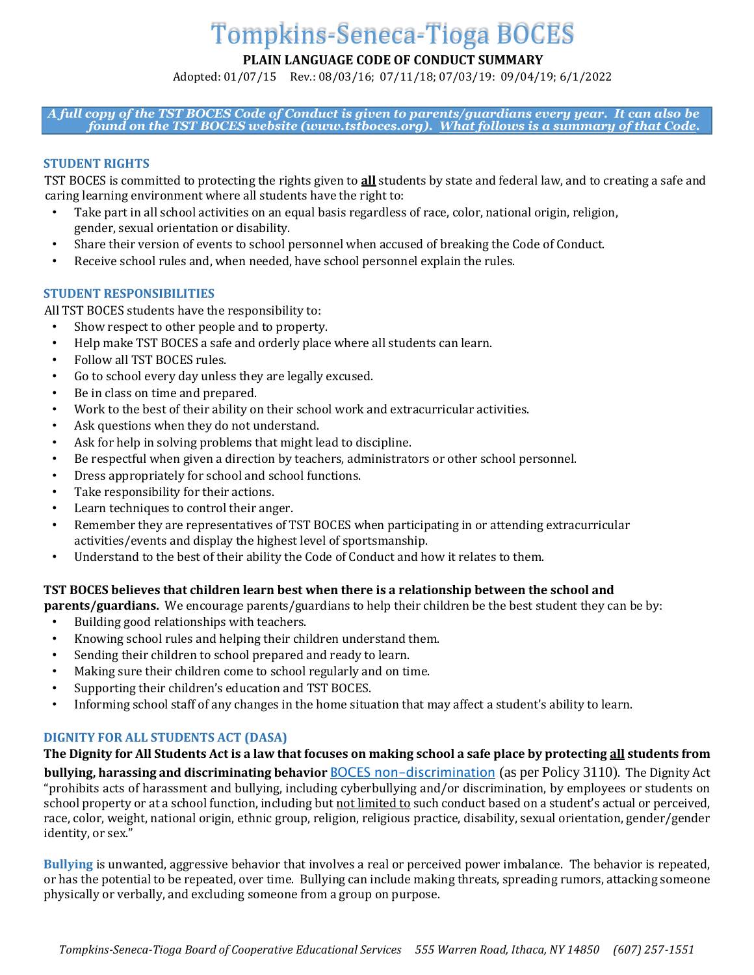# Tompkins-Seneca-Tioga BOCES

**PLAIN LANGUAGE CODE OF CONDUCT SUMMARY** 

Adopted: 01/07/15 Rev.: 08/03/16; 07/11/18; 07/03/19: 09/04/19; 6/1/2022

*A full copy of the TST BOCES Code of Conduct is given to parents/guardians every year. It can also be found on the TST BOCES website (www.tstboces.org). What follows is a summary of that Code.* 

# **STUDENT RIGHTS**

TST BOCES is committed to protecting the rights given to **all** students by state and federal law, and to creating a safe and caring learning environment where all students have the right to:

- Take part in all school activities on an equal basis regardless of race, color, national origin, religion, gender, sexual orientation or disability.
- Share their version of events to school personnel when accused of breaking the Code of Conduct.
- Receive school rules and, when needed, have school personnel explain the rules.

# **STUDENT RESPONSIBILITIES**

All TST BOCES students have the responsibility to:

- Show respect to other people and to property.
- Help make TST BOCES a safe and orderly place where all students can learn.
- Follow all TST BOCES rules.
- Go to school every day unless they are legally excused.
- Be in class on time and prepared.
- Work to the best of their ability on their school work and extracurricular activities.
- Ask questions when they do not understand.
- Ask for help in solving problems that might lead to discipline.
- Be respectful when given a direction by teachers, administrators or other school personnel.
- Dress appropriately for school and school functions.
- Take responsibility for their actions.
- Learn techniques to control their anger.
- Remember they are representatives of TST BOCES when participating in or attending extracurricular activities/events and display the highest level of sportsmanship.
- Understand to the best of their ability the Code of Conduct and how it relates to them.

# **TST BOCES believes that children learn best when there is a relationship between the school and**

**parents/guardians.** We encourage parents/guardians to help their children be the best student they can be by:

- Building good relationships with teachers.
- Knowing school rules and helping their children understand them.
- Sending their children to school prepared and ready to learn.
- Making sure their children come to school regularly and on time.
- Supporting their children's education and TST BOCES.
- Informing school staff of any changes in the home situation that may affect a student's ability to learn.

# **DIGNITY FOR ALL STUDENTS ACT (DASA)**

**The Dignity for All Students Act is a law that focuses on making school a safe place by protecting all students from** 

**bullying, harassing and discriminating behavior** [BOCES non-discrimination](http://tstboces.org/about/non-discrimination-policy/) (as per Policy 3110). The Dignity Act "prohibits acts of harassment and bullying, including cyberbullying and/or discrimination, by employees or students on school property or at a school function, including but not limited to such conduct based on a student's actual or perceived, race, color, weight, national origin, ethnic group, religion, religious practice, disability, sexual orientation, gender/gender identity, or sex."

**Bullying** is unwanted, aggressive behavior that involves a real or perceived power imbalance. The behavior is repeated, or has the potential to be repeated, over time. Bullying can include making threats, spreading rumors, attacking someone physically or verbally, and excluding someone from a group on purpose.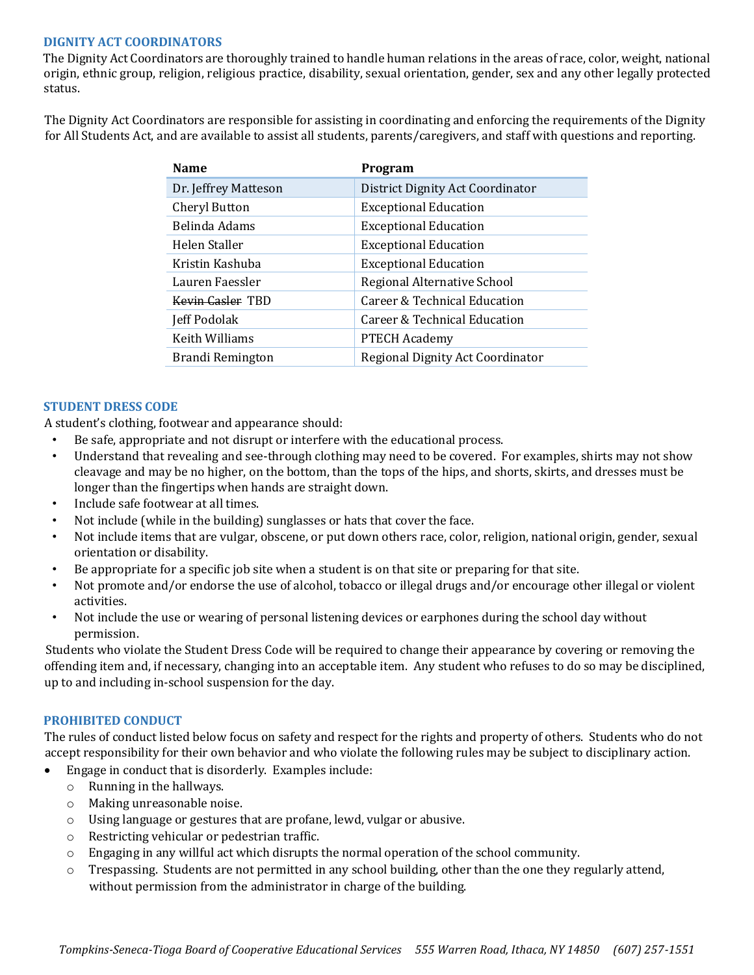## **DIGNITY ACT COORDINATORS**

The Dignity Act Coordinators are thoroughly trained to handle human relations in the areas of race, color, weight, national origin, ethnic group, religion, religious practice, disability, sexual orientation, gender, sex and any other legally protected status.

The Dignity Act Coordinators are responsible for assisting in coordinating and enforcing the requirements of the Dignity for All Students Act, and are available to assist all students, parents/caregivers, and staff with questions and reporting.

| Program                          |
|----------------------------------|
| District Dignity Act Coordinator |
| <b>Exceptional Education</b>     |
| <b>Exceptional Education</b>     |
| <b>Exceptional Education</b>     |
| <b>Exceptional Education</b>     |
| Regional Alternative School      |
| Career & Technical Education     |
| Career & Technical Education     |
| <b>PTECH Academy</b>             |
| Regional Dignity Act Coordinator |
|                                  |

## **STUDENT DRESS CODE**

A student's clothing, footwear and appearance should:

- Be safe, appropriate and not disrupt or interfere with the educational process.
- Understand that revealing and see-through clothing may need to be covered. For examples, shirts may not show cleavage and may be no higher, on the bottom, than the tops of the hips, and shorts, skirts, and dresses must be longer than the fingertips when hands are straight down.
- Include safe footwear at all times.
- Not include (while in the building) sunglasses or hats that cover the face.
- Not include items that are vulgar, obscene, or put down others race, color, religion, national origin, gender, sexual orientation or disability.
- Be appropriate for a specific job site when a student is on that site or preparing for that site.
- Not promote and/or endorse the use of alcohol, tobacco or illegal drugs and/or encourage other illegal or violent activities.
- Not include the use or wearing of personal listening devices or earphones during the school day without permission.

Students who violate the Student Dress Code will be required to change their appearance by covering or removing the offending item and, if necessary, changing into an acceptable item. Any student who refuses to do so may be disciplined, up to and including in-school suspension for the day.

#### **PROHIBITED CONDUCT**

The rules of conduct listed below focus on safety and respect for the rights and property of others. Students who do not accept responsibility for their own behavior and who violate the following rules may be subject to disciplinary action.

- Engage in conduct that is disorderly. Examples include:
	- o Running in the hallways.
	- o Making unreasonable noise.
	- o Using language or gestures that are profane, lewd, vulgar or abusive.
	- o Restricting vehicular or pedestrian traffic.
	- $\circ$  Engaging in any willful act which disrupts the normal operation of the school community.
	- o Trespassing. Students are not permitted in any school building, other than the one they regularly attend, without permission from the administrator in charge of the building.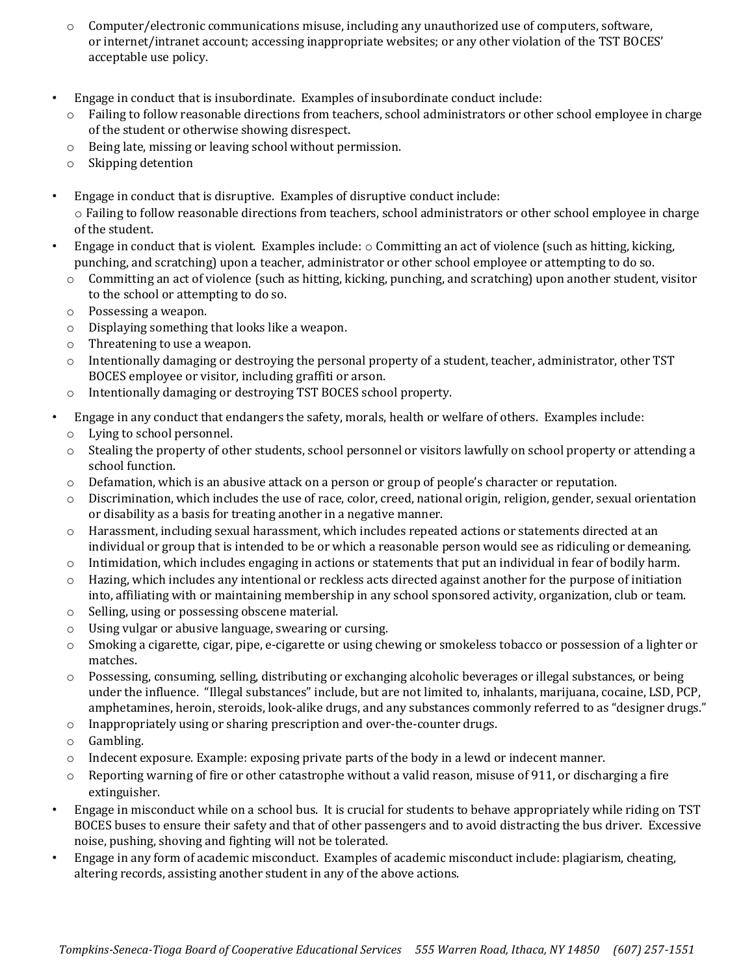- $\circ$  Computer/electronic communications misuse, including any unauthorized use of computers, software, or internet/intranet account; accessing inappropriate websites; or any other violation of the TST BOCES' acceptable use policy.
- Engage in conduct that is insubordinate. Examples of insubordinate conduct include:
	- o Failing to follow reasonable directions from teachers, school administrators or other school employee in charge of the student or otherwise showing disrespect.
	- o Being late, missing or leaving school without permission.
	- o Skipping detention
- Engage in conduct that is disruptive. Examples of disruptive conduct include: o Failing to follow reasonable directions from teachers, school administrators or other school employee in charge of the student.
- Engage in conduct that is violent. Examples include:  $\circ$  Committing an act of violence (such as hitting, kicking, punching, and scratching) upon a teacher, administrator or other school employee or attempting to do so.
	- $\circ$  Committing an act of violence (such as hitting, kicking, punching, and scratching) upon another student, visitor to the school or attempting to do so.
	- o Possessing a weapon.
	- o Displaying something that looks like a weapon.
	- o Threatening to use a weapon.
	- o Intentionally damaging or destroying the personal property of a student, teacher, administrator, other TST BOCES employee or visitor, including graffiti or arson.
	- o Intentionally damaging or destroying TST BOCES school property.
- Engage in any conduct that endangers the safety, morals, health or welfare of others. Examples include:
	- o Lying to school personnel.
	- $\circ$  Stealing the property of other students, school personnel or visitors lawfully on school property or attending a school function.
	- $\circ$  Defamation, which is an abusive attack on a person or group of people's character or reputation.
	- $\circ$  Discrimination, which includes the use of race, color, creed, national origin, religion, gender, sexual orientation or disability as a basis for treating another in a negative manner.
	- o Harassment, including sexual harassment, which includes repeated actions or statements directed at an individual or group that is intended to be or which a reasonable person would see as ridiculing or demeaning.
	- $\circ$  Intimidation, which includes engaging in actions or statements that put an individual in fear of bodily harm.
	- $\circ$  Hazing, which includes any intentional or reckless acts directed against another for the purpose of initiation into, affiliating with or maintaining membership in any school sponsored activity, organization, club or team.
	- o Selling, using or possessing obscene material.
	- o Using vulgar or abusive language, swearing or cursing.
	- $\circ$  Smoking a cigarette, cigar, pipe, e-cigarette or using chewing or smokeless tobacco or possession of a lighter or matches.
	- o Possessing, consuming, selling, distributing or exchanging alcoholic beverages or illegal substances, or being under the influence. "Illegal substances" include, but are not limited to, inhalants, marijuana, cocaine, LSD, PCP, amphetamines, heroin, steroids, look-alike drugs, and any substances commonly referred to as "designer drugs."
	- o Inappropriately using or sharing prescription and over-the-counter drugs.
	- o Gambling.
	- o Indecent exposure. Example: exposing private parts of the body in a lewd or indecent manner.
	- $\circ$  Reporting warning of fire or other catastrophe without a valid reason, misuse of 911, or discharging a fire extinguisher.
- Engage in misconduct while on a school bus. It is crucial for students to behave appropriately while riding on TST BOCES buses to ensure their safety and that of other passengers and to avoid distracting the bus driver. Excessive noise, pushing, shoving and fighting will not be tolerated.
- Engage in any form of academic misconduct. Examples of academic misconduct include: plagiarism, cheating, altering records, assisting another student in any of the above actions.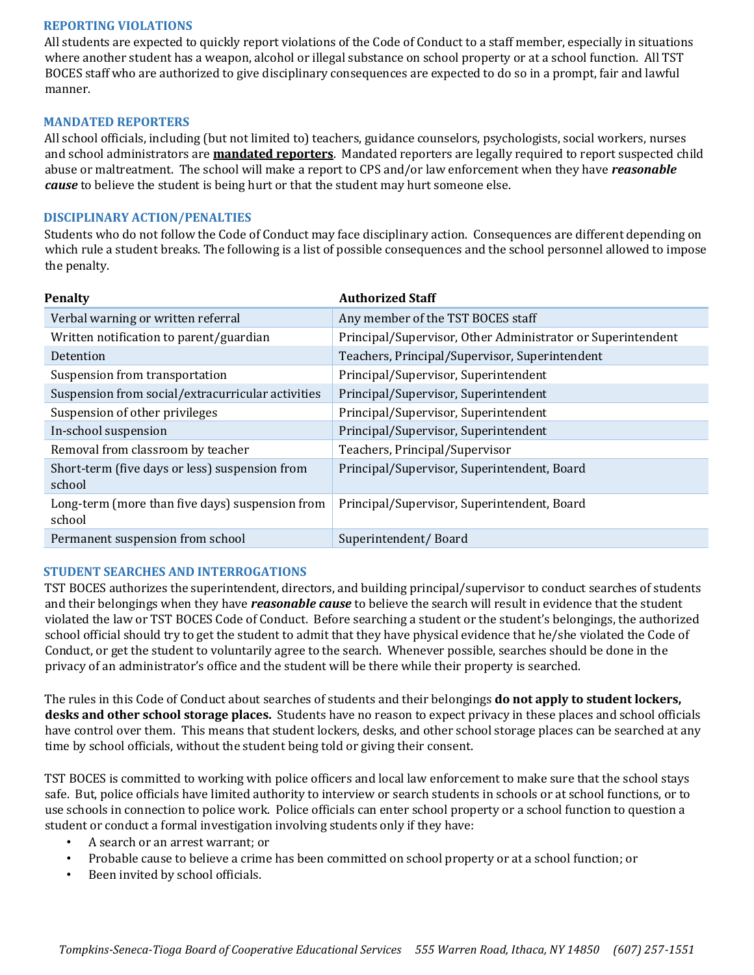## **REPORTING VIOLATIONS**

All students are expected to quickly report violations of the Code of Conduct to a staff member, especially in situations where another student has a weapon, alcohol or illegal substance on school property or at a school function. All TST BOCES staff who are authorized to give disciplinary consequences are expected to do so in a prompt, fair and lawful manner.

## **MANDATED REPORTERS**

All school officials, including (but not limited to) teachers, guidance counselors, psychologists, social workers, nurses and school administrators are **mandated reporters**. Mandated reporters are legally required to report suspected child abuse or maltreatment. The school will make a report to CPS and/or law enforcement when they have *reasonable cause* to believe the student is being hurt or that the student may hurt someone else.

## **DISCIPLINARY ACTION/PENALTIES**

Students who do not follow the Code of Conduct may face disciplinary action. Consequences are different depending on which rule a student breaks. The following is a list of possible consequences and the school personnel allowed to impose the penalty.

| <b>Penalty</b>                                            | <b>Authorized Staff</b>                                     |
|-----------------------------------------------------------|-------------------------------------------------------------|
| Verbal warning or written referral                        | Any member of the TST BOCES staff                           |
| Written notification to parent/guardian                   | Principal/Supervisor, Other Administrator or Superintendent |
| Detention                                                 | Teachers, Principal/Supervisor, Superintendent              |
| Suspension from transportation                            | Principal/Supervisor, Superintendent                        |
| Suspension from social/extracurricular activities         | Principal/Supervisor, Superintendent                        |
| Suspension of other privileges                            | Principal/Supervisor, Superintendent                        |
| In-school suspension                                      | Principal/Supervisor, Superintendent                        |
| Removal from classroom by teacher                         | Teachers, Principal/Supervisor                              |
| Short-term (five days or less) suspension from<br>school  | Principal/Supervisor, Superintendent, Board                 |
| Long-term (more than five days) suspension from<br>school | Principal/Supervisor, Superintendent, Board                 |
| Permanent suspension from school                          | Superintendent/Board                                        |

# **STUDENT SEARCHES AND INTERROGATIONS**

TST BOCES authorizes the superintendent, directors, and building principal/supervisor to conduct searches of students and their belongings when they have *reasonable cause* to believe the search will result in evidence that the student violated the law or TST BOCES Code of Conduct. Before searching a student or the student's belongings, the authorized school official should try to get the student to admit that they have physical evidence that he/she violated the Code of Conduct, or get the student to voluntarily agree to the search. Whenever possible, searches should be done in the privacy of an administrator's office and the student will be there while their property is searched.

The rules in this Code of Conduct about searches of students and their belongings **do not apply to student lockers, desks and other school storage places.** Students have no reason to expect privacy in these places and school officials have control over them. This means that student lockers, desks, and other school storage places can be searched at any time by school officials, without the student being told or giving their consent.

TST BOCES is committed to working with police officers and local law enforcement to make sure that the school stays safe. But, police officials have limited authority to interview or search students in schools or at school functions, or to use schools in connection to police work. Police officials can enter school property or a school function to question a student or conduct a formal investigation involving students only if they have:

- A search or an arrest warrant; or
- Probable cause to believe a crime has been committed on school property or at a school function; or
- Been invited by school officials.